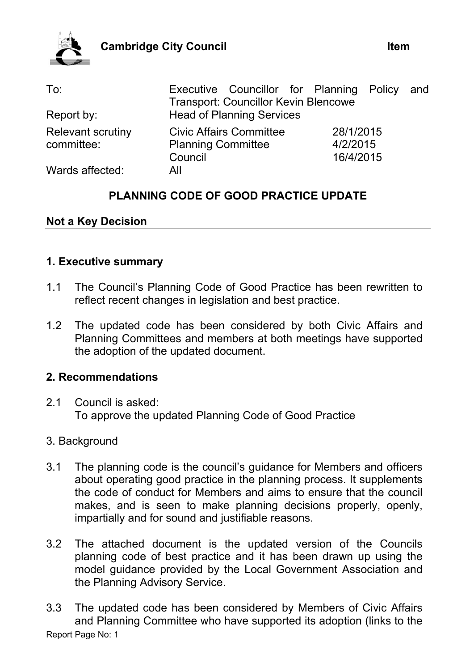

| To:                                    | Executive Councillor for Planning Policy and<br><b>Transport: Councillor Kevin Blencowe</b> |                       |  |
|----------------------------------------|---------------------------------------------------------------------------------------------|-----------------------|--|
| Report by:                             | <b>Head of Planning Services</b>                                                            |                       |  |
| <b>Relevant scrutiny</b><br>committee: | <b>Civic Affairs Committee</b><br><b>Planning Committee</b>                                 | 28/1/2015<br>4/2/2015 |  |
|                                        | Council                                                                                     | 16/4/2015             |  |
| Wards affected:                        | All                                                                                         |                       |  |

# **PLANNING CODE OF GOOD PRACTICE UPDATE**

# **Not a Key Decision**

## **1. Executive summary**

- 1.1 The Council's Planning Code of Good Practice has been rewritten to reflect recent changes in legislation and best practice.
- 1.2 The updated code has been considered by both Civic Affairs and Planning Committees and members at both meetings have supported the adoption of the updated document.

# **2. Recommendations**

2.1 Council is asked: To approve the updated Planning Code of Good Practice

# 3. Background

- 3.1 The planning code is the council's guidance for Members and officers about operating good practice in the planning process. It supplements the code of conduct for Members and aims to ensure that the council makes, and is seen to make planning decisions properly, openly, impartially and for sound and justifiable reasons.
- 3.2 The attached document is the updated version of the Councils planning code of best practice and it has been drawn up using the model guidance provided by the Local Government Association and the Planning Advisory Service.
- Report Page No: 1 3.3 The updated code has been considered by Members of Civic Affairs and Planning Committee who have supported its adoption (links to the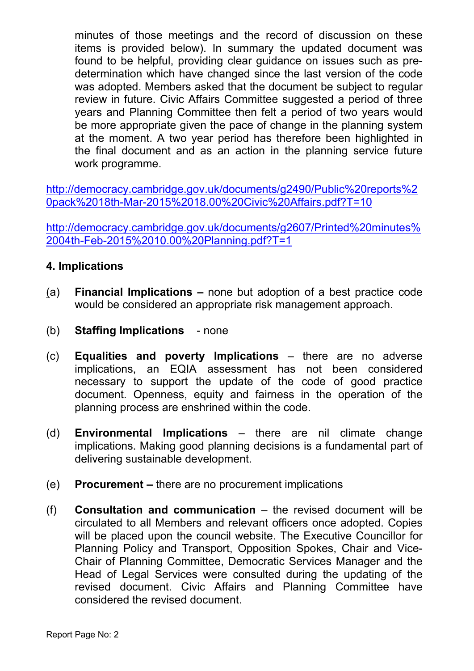minutes of those meetings and the record of discussion on these items is provided below). In summary the updated document was found to be helpful, providing clear guidance on issues such as predetermination which have changed since the last version of the code was adopted. Members asked that the document be subject to regular review in future. Civic Affairs Committee suggested a period of three years and Planning Committee then felt a period of two years would be more appropriate given the pace of change in the planning system at the moment. A two year period has therefore been highlighted in the final document and as an action in the planning service future work programme.

[http://democracy.cambridge.gov.uk/documents/g2490/Public%20reports%2](http://democracy.cambridge.gov.uk/documents/g2490/Public%20reports%20pack%2018th-Mar-2015%2018.00%20Civic%20Affairs.pdf?T=10) [0pack%2018th-Mar-2015%2018.00%20Civic%20Affairs.pdf?T=10](http://democracy.cambridge.gov.uk/documents/g2490/Public%20reports%20pack%2018th-Mar-2015%2018.00%20Civic%20Affairs.pdf?T=10)

[http://democracy.cambridge.gov.uk/documents/g2607/Printed%20minutes%](http://democracy.cambridge.gov.uk/documents/g2607/Printed%20minutes%2004th-Feb-2015%2010.00%20Planning.pdf?T=1) [2004th-Feb-2015%2010.00%20Planning.pdf?T=1](http://democracy.cambridge.gov.uk/documents/g2607/Printed%20minutes%2004th-Feb-2015%2010.00%20Planning.pdf?T=1)

# **4. Implications**

- (a) **Financial Implications –** none but adoption of a best practice code would be considered an appropriate risk management approach.
- (b) **Staffing Implications** none
- (c) **Equalities and poverty Implications** there are no adverse implications, an EQIA assessment has not been considered necessary to support the update of the code of good practice document. Openness, equity and fairness in the operation of the planning process are enshrined within the code.
- (d) **Environmental Implications** there are nil climate change implications. Making good planning decisions is a fundamental part of delivering sustainable development.
- (e) **Procurement –** there are no procurement implications
- (f) **Consultation and communication** the revised document will be circulated to all Members and relevant officers once adopted. Copies will be placed upon the council website. The Executive Councillor for Planning Policy and Transport, Opposition Spokes, Chair and Vice-Chair of Planning Committee, Democratic Services Manager and the Head of Legal Services were consulted during the updating of the revised document. Civic Affairs and Planning Committee have considered the revised document.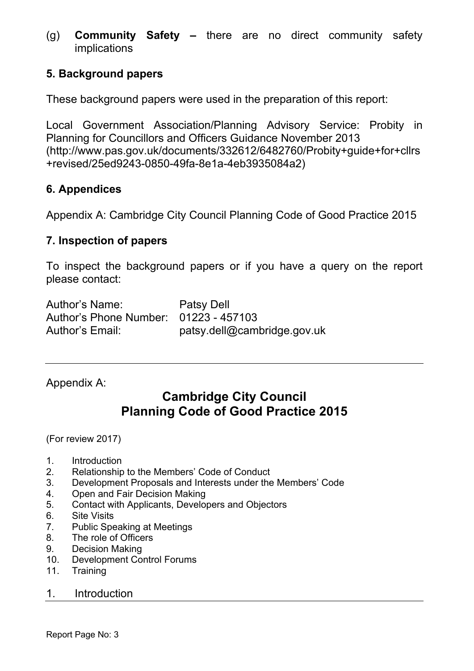(g) **Community Safety –** there are no direct community safety implications

# **5. Background papers**

These background papers were used in the preparation of this report:

Local Government Association/Planning Advisory Service: Probity in Planning for Councillors and Officers Guidance November 2013 (http://www.pas.gov.uk/documents/332612/6482760/Probity+guide+for+cllrs +revised/25ed9243-0850-49fa-8e1a-4eb3935084a2)

# **6. Appendices**

Appendix A: Cambridge City Council Planning Code of Good Practice 2015

# **7. Inspection of papers**

To inspect the background papers or if you have a query on the report please contact:

| <b>Author's Name:</b>                 | Patsy Dell                  |
|---------------------------------------|-----------------------------|
| Author's Phone Number: 01223 - 457103 |                             |
| Author's Email:                       | patsy.dell@cambridge.gov.uk |

Appendix A:

# **Cambridge City Council Planning Code of Good Practice 2015**

(For review 2017)

- 1. Introduction
- 2. Relationship to the Members' Code of Conduct
- 3. Development Proposals and Interests under the Members' Code
- 4. Open and Fair Decision Making
- 5. Contact with Applicants, Developers and Objectors
- 6. Site Visits
- 7. Public Speaking at Meetings
- 8. The role of Officers
- 9. Decision Making
- 10. Development Control Forums
- 11. Training

## 1. Introduction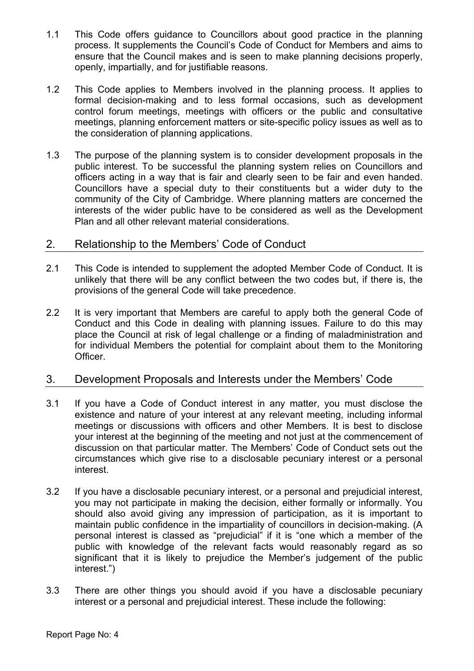- 1.1 This Code offers guidance to Councillors about good practice in the planning process. It supplements the Council's Code of Conduct for Members and aims to ensure that the Council makes and is seen to make planning decisions properly, openly, impartially, and for justifiable reasons.
- 1.2 This Code applies to Members involved in the planning process. It applies to formal decision-making and to less formal occasions, such as development control forum meetings, meetings with officers or the public and consultative meetings, planning enforcement matters or site-specific policy issues as well as to the consideration of planning applications.
- 1.3 The purpose of the planning system is to consider development proposals in the public interest. To be successful the planning system relies on Councillors and officers acting in a way that is fair and clearly seen to be fair and even handed. Councillors have a special duty to their constituents but a wider duty to the community of the City of Cambridge. Where planning matters are concerned the interests of the wider public have to be considered as well as the Development Plan and all other relevant material considerations.

## 2. Relationship to the Members' Code of Conduct

- 2.1 This Code is intended to supplement the adopted Member Code of Conduct. It is unlikely that there will be any conflict between the two codes but, if there is, the provisions of the general Code will take precedence.
- 2.2 It is very important that Members are careful to apply both the general Code of Conduct and this Code in dealing with planning issues. Failure to do this may place the Council at risk of legal challenge or a finding of maladministration and for individual Members the potential for complaint about them to the Monitoring Officer.

## 3. Development Proposals and Interests under the Members' Code

- 3.1 If you have a Code of Conduct interest in any matter, you must disclose the existence and nature of your interest at any relevant meeting, including informal meetings or discussions with officers and other Members. It is best to disclose your interest at the beginning of the meeting and not just at the commencement of discussion on that particular matter. The Members' Code of Conduct sets out the circumstances which give rise to a disclosable pecuniary interest or a personal interest.
- 3.2 If you have a disclosable pecuniary interest, or a personal and prejudicial interest, you may not participate in making the decision, either formally or informally. You should also avoid giving any impression of participation, as it is important to maintain public confidence in the impartiality of councillors in decision-making. (A personal interest is classed as "prejudicial" if it is "one which a member of the public with knowledge of the relevant facts would reasonably regard as so significant that it is likely to prejudice the Member's judgement of the public interest.")
- 3.3 There are other things you should avoid if you have a disclosable pecuniary interest or a personal and prejudicial interest. These include the following: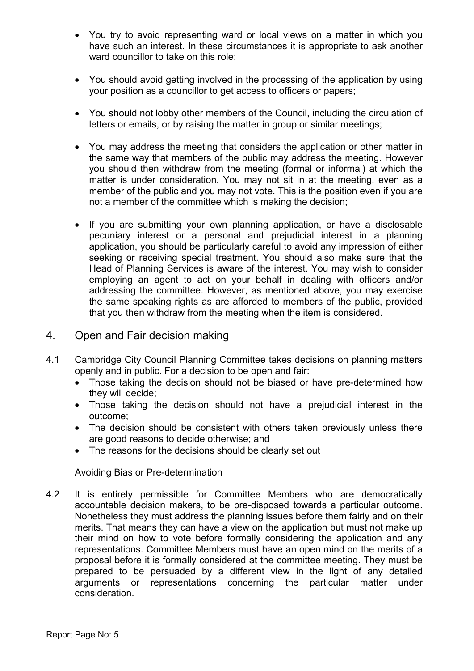- You try to avoid representing ward or local views on a matter in which you have such an interest. In these circumstances it is appropriate to ask another ward councillor to take on this role;
- You should avoid getting involved in the processing of the application by using your position as a councillor to get access to officers or papers;
- You should not lobby other members of the Council, including the circulation of letters or emails, or by raising the matter in group or similar meetings;
- You may address the meeting that considers the application or other matter in the same way that members of the public may address the meeting. However you should then withdraw from the meeting (formal or informal) at which the matter is under consideration. You may not sit in at the meeting, even as a member of the public and you may not vote. This is the position even if you are not a member of the committee which is making the decision;
- If you are submitting your own planning application, or have a disclosable pecuniary interest or a personal and prejudicial interest in a planning application, you should be particularly careful to avoid any impression of either seeking or receiving special treatment. You should also make sure that the Head of Planning Services is aware of the interest. You may wish to consider employing an agent to act on your behalf in dealing with officers and/or addressing the committee. However, as mentioned above, you may exercise the same speaking rights as are afforded to members of the public, provided that you then withdraw from the meeting when the item is considered.

## 4. Open and Fair decision making

- 4.1 Cambridge City Council Planning Committee takes decisions on planning matters openly and in public. For a decision to be open and fair:
	- Those taking the decision should not be biased or have pre-determined how they will decide;
	- Those taking the decision should not have a prejudicial interest in the outcome;
	- The decision should be consistent with others taken previously unless there are good reasons to decide otherwise; and
	- The reasons for the decisions should be clearly set out

#### Avoiding Bias or Pre-determination

4.2 It is entirely permissible for Committee Members who are democratically accountable decision makers, to be pre-disposed towards a particular outcome. Nonetheless they must address the planning issues before them fairly and on their merits. That means they can have a view on the application but must not make up their mind on how to vote before formally considering the application and any representations. Committee Members must have an open mind on the merits of a proposal before it is formally considered at the committee meeting. They must be prepared to be persuaded by a different view in the light of any detailed arguments or representations concerning the particular matter under consideration.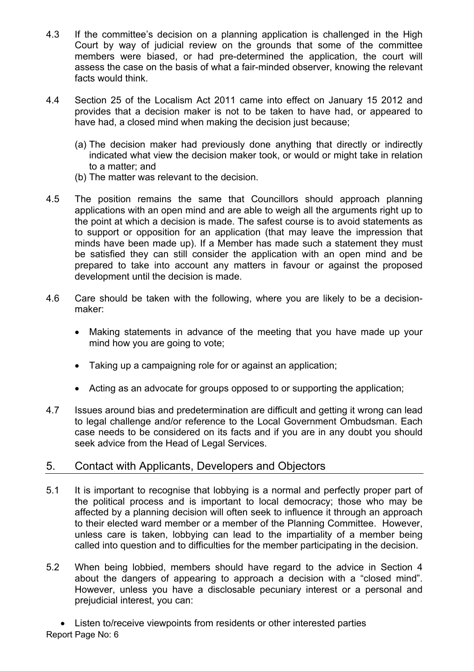- 4.3 If the committee's decision on a planning application is challenged in the High Court by way of judicial review on the grounds that some of the committee members were biased, or had pre-determined the application, the court will assess the case on the basis of what a fair-minded observer, knowing the relevant facts would think.
- 4.4 Section 25 of the Localism Act 2011 came into effect on January 15 2012 and provides that a decision maker is not to be taken to have had, or appeared to have had, a closed mind when making the decision just because;
	- (a) The decision maker had previously done anything that directly or indirectly indicated what view the decision maker took, or would or might take in relation to a matter; and
	- (b) The matter was relevant to the decision.
- 4.5 The position remains the same that Councillors should approach planning applications with an open mind and are able to weigh all the arguments right up to the point at which a decision is made. The safest course is to avoid statements as to support or opposition for an application (that may leave the impression that minds have been made up). If a Member has made such a statement they must be satisfied they can still consider the application with an open mind and be prepared to take into account any matters in favour or against the proposed development until the decision is made.
- 4.6 Care should be taken with the following, where you are likely to be a decisionmaker:
	- Making statements in advance of the meeting that you have made up your mind how you are going to vote;
	- Taking up a campaigning role for or against an application;
	- Acting as an advocate for groups opposed to or supporting the application:
- 4.7 Issues around bias and predetermination are difficult and getting it wrong can lead to legal challenge and/or reference to the Local Government Ombudsman. Each case needs to be considered on its facts and if you are in any doubt you should seek advice from the Head of Legal Services.

## 5. Contact with Applicants, Developers and Objectors

- 5.1 It is important to recognise that lobbying is a normal and perfectly proper part of the political process and is important to local democracy; those who may be affected by a planning decision will often seek to influence it through an approach to their elected ward member or a member of the Planning Committee. However, unless care is taken, lobbying can lead to the impartiality of a member being called into question and to difficulties for the member participating in the decision.
- 5.2 When being lobbied, members should have regard to the advice in Section 4 about the dangers of appearing to approach a decision with a "closed mind". However, unless you have a disclosable pecuniary interest or a personal and prejudicial interest, you can:

Report Page No: 6 Listen to/receive viewpoints from residents or other interested parties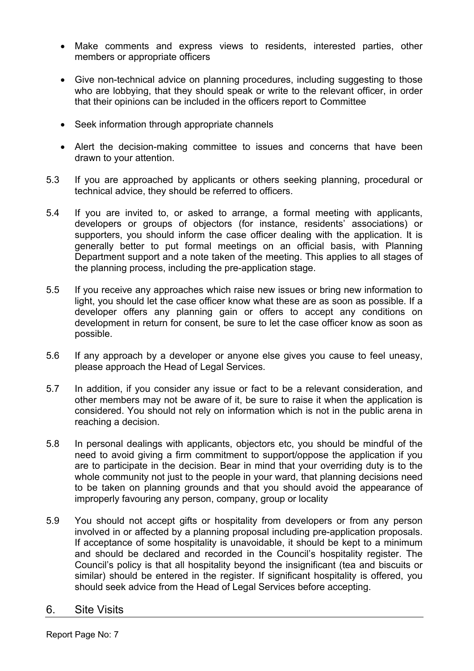- Make comments and express views to residents, interested parties, other members or appropriate officers
- Give non-technical advice on planning procedures, including suggesting to those who are lobbying, that they should speak or write to the relevant officer, in order that their opinions can be included in the officers report to Committee
- Seek information through appropriate channels
- Alert the decision-making committee to issues and concerns that have been drawn to your attention.
- 5.3 If you are approached by applicants or others seeking planning, procedural or technical advice, they should be referred to officers.
- 5.4 If you are invited to, or asked to arrange, a formal meeting with applicants, developers or groups of objectors (for instance, residents' associations) or supporters, you should inform the case officer dealing with the application. It is generally better to put formal meetings on an official basis, with Planning Department support and a note taken of the meeting. This applies to all stages of the planning process, including the pre-application stage.
- 5.5 If you receive any approaches which raise new issues or bring new information to light, you should let the case officer know what these are as soon as possible. If a developer offers any planning gain or offers to accept any conditions on development in return for consent, be sure to let the case officer know as soon as possible.
- 5.6 If any approach by a developer or anyone else gives you cause to feel uneasy, please approach the Head of Legal Services.
- 5.7 In addition, if you consider any issue or fact to be a relevant consideration, and other members may not be aware of it, be sure to raise it when the application is considered. You should not rely on information which is not in the public arena in reaching a decision.
- 5.8 In personal dealings with applicants, objectors etc, you should be mindful of the need to avoid giving a firm commitment to support/oppose the application if you are to participate in the decision. Bear in mind that your overriding duty is to the whole community not just to the people in your ward, that planning decisions need to be taken on planning grounds and that you should avoid the appearance of improperly favouring any person, company, group or locality
- 5.9 You should not accept gifts or hospitality from developers or from any person involved in or affected by a planning proposal including pre-application proposals. If acceptance of some hospitality is unavoidable, it should be kept to a minimum and should be declared and recorded in the Council's hospitality register. The Council's policy is that all hospitality beyond the insignificant (tea and biscuits or similar) should be entered in the register. If significant hospitality is offered, you should seek advice from the Head of Legal Services before accepting.

#### 6. Site Visits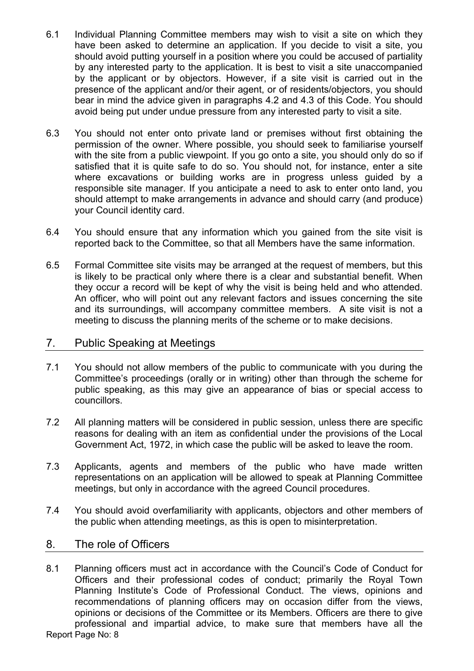- 6.1 Individual Planning Committee members may wish to visit a site on which they have been asked to determine an application. If you decide to visit a site, you should avoid putting yourself in a position where you could be accused of partiality by any interested party to the application. It is best to visit a site unaccompanied by the applicant or by objectors. However, if a site visit is carried out in the presence of the applicant and/or their agent, or of residents/objectors, you should bear in mind the advice given in paragraphs 4.2 and 4.3 of this Code. You should avoid being put under undue pressure from any interested party to visit a site.
- 6.3 You should not enter onto private land or premises without first obtaining the permission of the owner. Where possible, you should seek to familiarise yourself with the site from a public viewpoint. If you go onto a site, you should only do so if satisfied that it is quite safe to do so. You should not, for instance, enter a site where excavations or building works are in progress unless guided by a responsible site manager. If you anticipate a need to ask to enter onto land, you should attempt to make arrangements in advance and should carry (and produce) your Council identity card.
- 6.4 You should ensure that any information which you gained from the site visit is reported back to the Committee, so that all Members have the same information.
- 6.5 Formal Committee site visits may be arranged at the request of members, but this is likely to be practical only where there is a clear and substantial benefit. When they occur a record will be kept of why the visit is being held and who attended. An officer, who will point out any relevant factors and issues concerning the site and its surroundings, will accompany committee members. A site visit is not a meeting to discuss the planning merits of the scheme or to make decisions.

## 7. Public Speaking at Meetings

- 7.1 You should not allow members of the public to communicate with you during the Committee's proceedings (orally or in writing) other than through the scheme for public speaking, as this may give an appearance of bias or special access to councillors.
- 7.2 All planning matters will be considered in public session, unless there are specific reasons for dealing with an item as confidential under the provisions of the Local Government Act, 1972, in which case the public will be asked to leave the room.
- 7.3 Applicants, agents and members of the public who have made written representations on an application will be allowed to speak at Planning Committee meetings, but only in accordance with the agreed Council procedures.
- 7.4 You should avoid overfamiliarity with applicants, objectors and other members of the public when attending meetings, as this is open to misinterpretation.

## 8. The role of Officers

Report Page No: 8 8.1 Planning officers must act in accordance with the Council's Code of Conduct for Officers and their professional codes of conduct; primarily the Royal Town Planning Institute's Code of Professional Conduct. The views, opinions and recommendations of planning officers may on occasion differ from the views, opinions or decisions of the Committee or its Members. Officers are there to give professional and impartial advice, to make sure that members have all the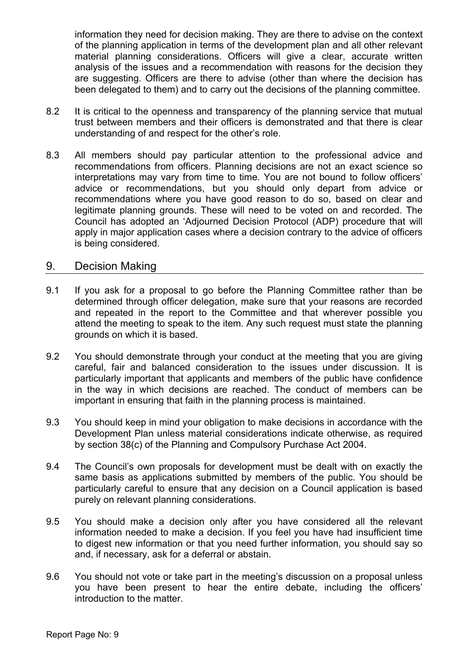information they need for decision making. They are there to advise on the context of the planning application in terms of the development plan and all other relevant material planning considerations. Officers will give a clear, accurate written analysis of the issues and a recommendation with reasons for the decision they are suggesting. Officers are there to advise (other than where the decision has been delegated to them) and to carry out the decisions of the planning committee.

- 8.2 It is critical to the openness and transparency of the planning service that mutual trust between members and their officers is demonstrated and that there is clear understanding of and respect for the other's role.
- 8.3 All members should pay particular attention to the professional advice and recommendations from officers. Planning decisions are not an exact science so interpretations may vary from time to time. You are not bound to follow officers' advice or recommendations, but you should only depart from advice or recommendations where you have good reason to do so, based on clear and legitimate planning grounds. These will need to be voted on and recorded. The Council has adopted an 'Adjourned Decision Protocol (ADP) procedure that will apply in major application cases where a decision contrary to the advice of officers is being considered.

#### 9. Decision Making

- 9.1 If you ask for a proposal to go before the Planning Committee rather than be determined through officer delegation, make sure that your reasons are recorded and repeated in the report to the Committee and that wherever possible you attend the meeting to speak to the item. Any such request must state the planning grounds on which it is based.
- 9.2 You should demonstrate through your conduct at the meeting that you are giving careful, fair and balanced consideration to the issues under discussion. It is particularly important that applicants and members of the public have confidence in the way in which decisions are reached. The conduct of members can be important in ensuring that faith in the planning process is maintained.
- 9.3 You should keep in mind your obligation to make decisions in accordance with the Development Plan unless material considerations indicate otherwise, as required by section 38(c) of the Planning and Compulsory Purchase Act 2004.
- 9.4 The Council's own proposals for development must be dealt with on exactly the same basis as applications submitted by members of the public. You should be particularly careful to ensure that any decision on a Council application is based purely on relevant planning considerations.
- 9.5 You should make a decision only after you have considered all the relevant information needed to make a decision. If you feel you have had insufficient time to digest new information or that you need further information, you should say so and, if necessary, ask for a deferral or abstain.
- 9.6 You should not vote or take part in the meeting's discussion on a proposal unless you have been present to hear the entire debate, including the officers' introduction to the matter.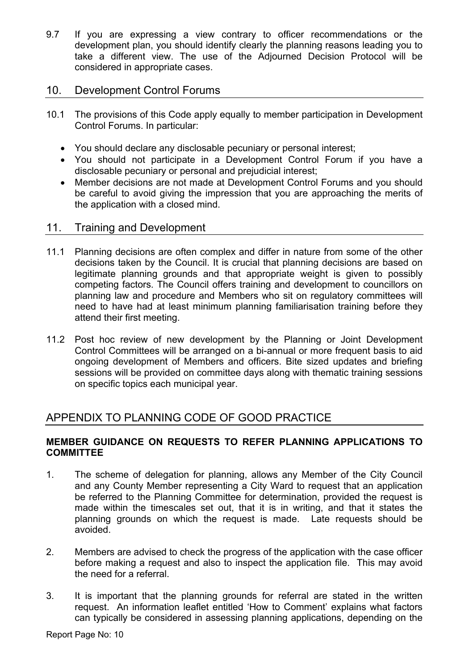9.7 If you are expressing a view contrary to officer recommendations or the development plan, you should identify clearly the planning reasons leading you to take a different view. The use of the Adjourned Decision Protocol will be considered in appropriate cases.

## 10. Development Control Forums

- 10.1 The provisions of this Code apply equally to member participation in Development Control Forums. In particular:
	- You should declare any disclosable pecuniary or personal interest;
	- You should not participate in a Development Control Forum if you have a disclosable pecuniary or personal and prejudicial interest;
	- Member decisions are not made at Development Control Forums and you should be careful to avoid giving the impression that you are approaching the merits of the application with a closed mind.

## 11. Training and Development

- 11.1 Planning decisions are often complex and differ in nature from some of the other decisions taken by the Council. It is crucial that planning decisions are based on legitimate planning grounds and that appropriate weight is given to possibly competing factors. The Council offers training and development to councillors on planning law and procedure and Members who sit on regulatory committees will need to have had at least minimum planning familiarisation training before they attend their first meeting.
- 11.2 Post hoc review of new development by the Planning or Joint Development Control Committees will be arranged on a bi-annual or more frequent basis to aid ongoing development of Members and officers. Bite sized updates and briefing sessions will be provided on committee days along with thematic training sessions on specific topics each municipal year.

# APPENDIX TO PLANNING CODE OF GOOD PRACTICE

## **MEMBER GUIDANCE ON REQUESTS TO REFER PLANNING APPLICATIONS TO COMMITTEE**

- 1. The scheme of delegation for planning, allows any Member of the City Council and any County Member representing a City Ward to request that an application be referred to the Planning Committee for determination, provided the request is made within the timescales set out, that it is in writing, and that it states the planning grounds on which the request is made. Late requests should be avoided.
- 2. Members are advised to check the progress of the application with the case officer before making a request and also to inspect the application file. This may avoid the need for a referral.
- 3. It is important that the planning grounds for referral are stated in the written request. An information leaflet entitled 'How to Comment' explains what factors can typically be considered in assessing planning applications, depending on the